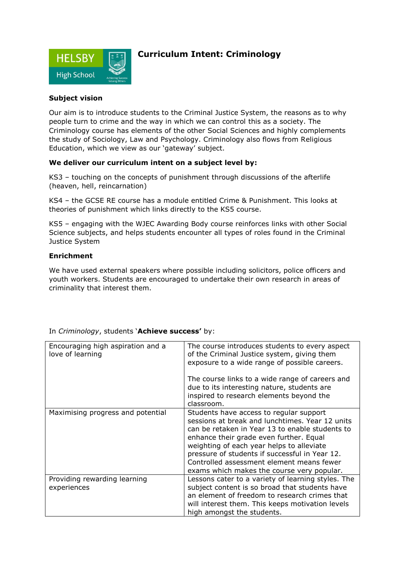

## **Curriculum Intent: Criminology**

### **Subject vision**

Our aim is to introduce students to the Criminal Justice System, the reasons as to why people turn to crime and the way in which we can control this as a society. The Criminology course has elements of the other Social Sciences and highly complements the study of Sociology, Law and Psychology. Criminology also flows from Religious Education, which we view as our 'gateway' subject.

#### **We deliver our curriculum intent on a subject level by:**

KS3 – touching on the concepts of punishment through discussions of the afterlife (heaven, hell, reincarnation)

KS4 – the GCSE RE course has a module entitled Crime & Punishment. This looks at theories of punishment which links directly to the KS5 course.

KS5 – engaging with the WJEC Awarding Body course reinforces links with other Social Science subjects, and helps students encounter all types of roles found in the Criminal Justice System

#### **Enrichment**

We have used external speakers where possible including solicitors, police officers and youth workers. Students are encouraged to undertake their own research in areas of criminality that interest them.

| Encouraging high aspiration and a<br>love of learning | The course introduces students to every aspect<br>of the Criminal Justice system, giving them<br>exposure to a wide range of possible careers.<br>The course links to a wide range of careers and<br>due to its interesting nature, students are<br>inspired to research elements beyond the<br>classroom.                                                                         |
|-------------------------------------------------------|------------------------------------------------------------------------------------------------------------------------------------------------------------------------------------------------------------------------------------------------------------------------------------------------------------------------------------------------------------------------------------|
| Maximising progress and potential                     | Students have access to regular support<br>sessions at break and lunchtimes. Year 12 units<br>can be retaken in Year 13 to enable students to<br>enhance their grade even further. Equal<br>weighting of each year helps to alleviate<br>pressure of students if successful in Year 12.<br>Controlled assessment element means fewer<br>exams which makes the course very popular. |
| Providing rewarding learning<br>experiences           | Lessons cater to a variety of learning styles. The<br>subject content is so broad that students have<br>an element of freedom to research crimes that<br>will interest them. This keeps motivation levels<br>high amongst the students.                                                                                                                                            |

In *Criminology*, students '**Achieve success'** by: